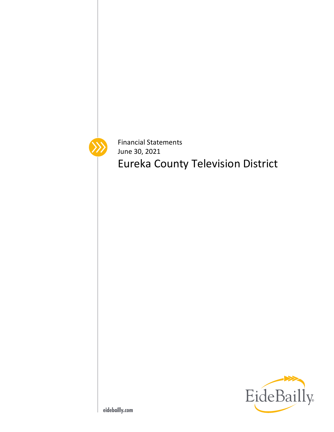

Financial Statements June 30, 2021 Eureka County Television District

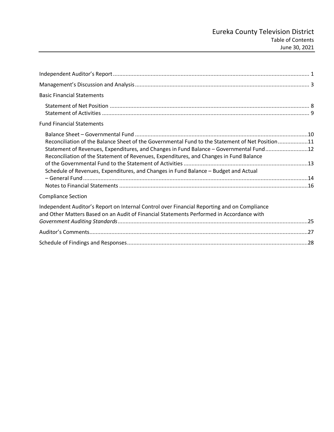| <b>Basic Financial Statements</b>                                                                                                                                                                                                                                                                                                                                          |  |
|----------------------------------------------------------------------------------------------------------------------------------------------------------------------------------------------------------------------------------------------------------------------------------------------------------------------------------------------------------------------------|--|
|                                                                                                                                                                                                                                                                                                                                                                            |  |
| <b>Fund Financial Statements</b>                                                                                                                                                                                                                                                                                                                                           |  |
| Reconciliation of the Balance Sheet of the Governmental Fund to the Statement of Net Position11<br>Statement of Revenues, Expenditures, and Changes in Fund Balance - Governmental Fund12<br>Reconciliation of the Statement of Revenues, Expenditures, and Changes in Fund Balance<br>Schedule of Revenues, Expenditures, and Changes in Fund Balance - Budget and Actual |  |
| <b>Compliance Section</b>                                                                                                                                                                                                                                                                                                                                                  |  |
| Independent Auditor's Report on Internal Control over Financial Reporting and on Compliance<br>and Other Matters Based on an Audit of Financial Statements Performed in Accordance with                                                                                                                                                                                    |  |
|                                                                                                                                                                                                                                                                                                                                                                            |  |
|                                                                                                                                                                                                                                                                                                                                                                            |  |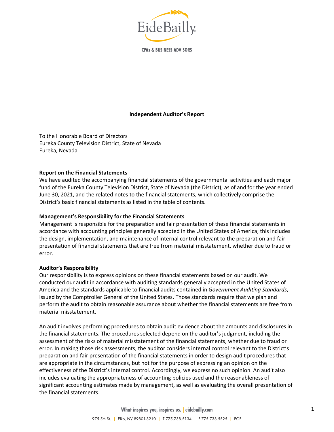

**CPAs & BUSINESS ADVISORS** 

## **Independent Auditor's Report**

<span id="page-2-0"></span>To the Honorable Board of Directors Eureka County Television District, State of Nevada Eureka, Nevada

#### **Report on the Financial Statements**

We have audited the accompanying financial statements of the governmental activities and each major fund of the Eureka County Television District, State of Nevada (the District), as of and for the year ended June 30, 2021, and the related notes to the financial statements, which collectively comprise the District's basic financial statements as listed in the table of contents.

#### **Management's Responsibility for the Financial Statements**

Management is responsible for the preparation and fair presentation of these financial statements in accordance with accounting principles generally accepted in the United States of America; this includes the design, implementation, and maintenance of internal control relevant to the preparation and fair presentation of financial statements that are free from material misstatement, whether due to fraud or error.

#### **Auditor's Responsibility**

Our responsibility is to express opinions on these financial statements based on our audit. We conducted our audit in accordance with auditing standards generally accepted in the United States of America and the standards applicable to financial audits contained in *Government Auditing Standards*, issued by the Comptroller General of the United States. Those standards require that we plan and perform the audit to obtain reasonable assurance about whether the financial statements are free from material misstatement.

An audit involves performing procedures to obtain audit evidence about the amounts and disclosures in the financial statements. The procedures selected depend on the auditor's judgment, including the assessment of the risks of material misstatement of the financial statements, whether due to fraud or error. In making those risk assessments, the auditor considers internal control relevant to the District's preparation and fair presentation of the financial statements in order to design audit procedures that are appropriate in the circumstances, but not for the purpose of expressing an opinion on the effectiveness of the District's internal control. Accordingly, we express no such opinion. An audit also includes evaluating the appropriateness of accounting policies used and the reasonableness of significant accounting estimates made by management, as well as evaluating the overall presentation of the financial statements.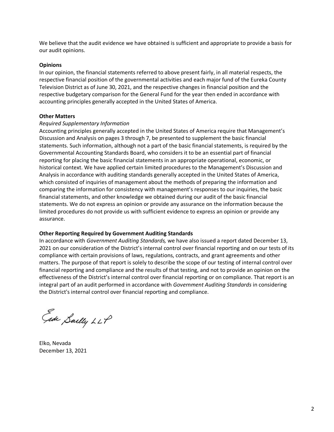We believe that the audit evidence we have obtained is sufficient and appropriate to provide a basis for our audit opinions.

#### **Opinions**

In our opinion, the financial statements referred to above present fairly, in all material respects, the respective financial position of the governmental activities and each major fund of the Eureka County Television District as of June 30, 2021, and the respective changes in financial position and the respective budgetary comparison for the General Fund for the year then ended in accordance with accounting principles generally accepted in the United States of America.

#### **Other Matters**

#### *Required Supplementary Information*

Accounting principles generally accepted in the United States of America require that Management's Discussion and Analysis on pages 3 through 7, be presented to supplement the basic financial statements. Such information, although not a part of the basic financial statements, is required by the Governmental Accounting Standards Board, who considers it to be an essential part of financial reporting for placing the basic financial statements in an appropriate operational, economic, or historical context. We have applied certain limited procedures to the Management's Discussion and Analysis in accordance with auditing standards generally accepted in the United States of America, which consisted of inquiries of management about the methods of preparing the information and comparing the information for consistency with management's responses to our inquiries, the basic financial statements, and other knowledge we obtained during our audit of the basic financial statements. We do not express an opinion or provide any assurance on the information because the limited procedures do not provide us with sufficient evidence to express an opinion or provide any assurance.

#### **Other Reporting Required by Government Auditing Standards**

In accordance with *Government Auditing Standards,* we have also issued a report dated December 13, 2021 on our consideration of the District's internal control over financial reporting and on our tests of its compliance with certain provisions of laws, regulations, contracts, and grant agreements and other matters. The purpose of that report is solely to describe the scope of our testing of internal control over financial reporting and compliance and the results of that testing, and not to provide an opinion on the effectiveness of the District's internal control over financial reporting or on compliance. That report is an integral part of an audit performed in accordance with *Government Auditing Standards* in considering the District's internal control over financial reporting and compliance.

Ede Sailly LLP

Elko, Nevada December 13, 2021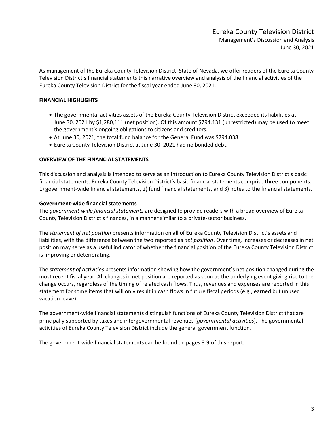<span id="page-4-0"></span>As management of the Eureka County Television District, State of Nevada, we offer readers of the Eureka County Television District's financial statements this narrative overview and analysis of the financial activities of the Eureka County Television District for the fiscal year ended June 30, 2021.

## **FINANCIAL HIGHLIGHTS**

- The governmental activities assets of the Eureka County Television District exceeded its liabilities at June 30, 2021 by \$1,280,111 (net position). Of this amount \$794,131 (unrestricted) may be used to meet the government's ongoing obligations to citizens and creditors.
- At June 30, 2021, the total fund balance for the General Fund was \$794,038.
- Eureka County Television District at June 30, 2021 had no bonded debt.

## **OVERVIEW OF THE FINANCIAL STATEMENTS**

This discussion and analysis is intended to serve as an introduction to Eureka County Television District's basic financial statements. Eureka County Television District's basic financial statements comprise three components: 1) government-wide financial statements, 2) fund financial statements, and 3) notes to the financial statements.

## **Government-wide financial statements**

The *government-wide financial statements* are designed to provide readers with a broad overview of Eureka County Television District's finances, in a manner similar to a private-sector business.

The *statement of net position* presents information on all of Eureka County Television District's assets and liabilities, with the difference between the two reported as *net position*. Over time, increases or decreases in net position may serve as a useful indicator of whether the financial position of the Eureka County Television District is improving or deteriorating.

The *statement of activities* presents information showing how the government's net position changed during the most recent fiscal year. All changes in net position are reported as soon as the underlying event giving rise to the change occurs, regardless of the timing of related cash flows. Thus, revenues and expenses are reported in this statement for some items that will only result in cash flows in future fiscal periods (e.g., earned but unused vacation leave).

The government-wide financial statements distinguish functions of Eureka County Television District that are principally supported by taxes and intergovernmental revenues (*governmental activities*). The governmental activities of Eureka County Television District include the general government function.

The government-wide financial statements can be found on pages 8-9 of this report.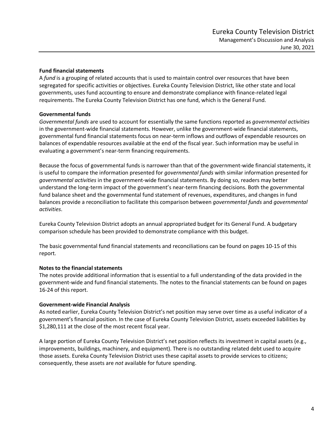## **Fund financial statements**

A *fund* is a grouping of related accounts that is used to maintain control over resources that have been segregated for specific activities or objectives. Eureka County Television District, like other state and local governments, uses fund accounting to ensure and demonstrate compliance with finance-related legal requirements. The Eureka County Television District has one fund, which is the General Fund.

## **Governmental funds**

*Governmental funds* are used to account for essentially the same functions reported as *governmental activities* in the government-wide financial statements. However, unlike the government-wide financial statements, governmental fund financial statements focus on near-term inflows and outflows of expendable resources on balances of expendable resources available at the end of the fiscal year. Such information may be useful in evaluating a government's near-term financing requirements.

Because the focus of governmental funds is narrower than that of the government-wide financial statements, it is useful to compare the information presented for *governmental funds* with similar information presented for *governmental activities* in the government-wide financial statements. By doing so, readers may better understand the long-term impact of the government's near-term financing decisions. Both the governmental fund balance sheet and the governmental fund statement of revenues, expenditures, and changes in fund balances provide a reconciliation to facilitate this comparison between *governmental funds* and *governmental activities*.

Eureka County Television District adopts an annual appropriated budget for its General Fund. A budgetary comparison schedule has been provided to demonstrate compliance with this budget.

The basic governmental fund financial statements and reconciliations can be found on pages 10-15 of this report.

## **Notes to the financial statements**

The notes provide additional information that is essential to a full understanding of the data provided in the government-wide and fund financial statements. The notes to the financial statements can be found on pages 16-24 of this report.

## **Government-wide Financial Analysis**

As noted earlier, Eureka County Television District's net position may serve over time as a useful indicator of a government's financial position. In the case of Eureka County Television District, assets exceeded liabilities by \$1,280,111 at the close of the most recent fiscal year.

A large portion of Eureka County Television District's net position reflects its investment in capital assets (e.g., improvements, buildings, machinery, and equipment). There is no outstanding related debt used to acquire those assets. Eureka County Television District uses these capital assets to provide services to citizens; consequently, these assets are *not* available for future spending.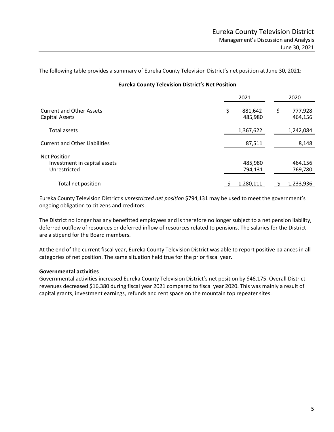The following table provides a summary of Eureka County Television District's net position at June 30, 2021:

## **Eureka County Television District's Net Position**

|                                                                     | 2021                     | 2020                     |  |  |
|---------------------------------------------------------------------|--------------------------|--------------------------|--|--|
| <b>Current and Other Assets</b><br>Capital Assets                   | \$<br>881,642<br>485,980 | 777,928<br>\$<br>464,156 |  |  |
| Total assets                                                        | 1,367,622                | 1,242,084                |  |  |
| <b>Current and Other Liabilities</b>                                | 87,511                   | 8,148                    |  |  |
| <b>Net Position</b><br>Investment in capital assets<br>Unrestricted | 485,980<br>794,131       | 464,156<br>769,780       |  |  |
| Total net position                                                  | 1,280,111                | 1,233,936                |  |  |

Eureka County Television District's *unrestricted net position* \$794,131 may be used to meet the government's ongoing obligation to citizens and creditors.

The District no longer has any benefitted employees and is therefore no longer subject to a net pension liability, deferred outflow of resources or deferred inflow of resources related to pensions. The salaries for the District are a stipend for the Board members.

At the end of the current fiscal year, Eureka County Television District was able to report positive balances in all categories of net position. The same situation held true for the prior fiscal year.

## **Governmental activities**

Governmental activities increased Eureka County Television District's net position by \$46,175. Overall District revenues decreased \$16,380 during fiscal year 2021 compared to fiscal year 2020. This was mainly a result of capital grants, investment earnings, refunds and rent space on the mountain top repeater sites.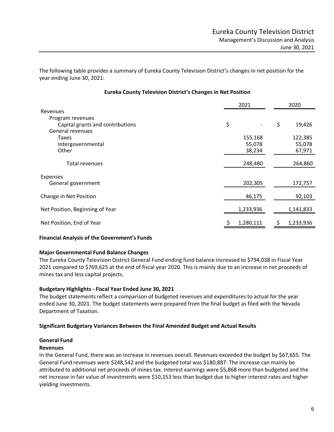The following table provides a summary of Eureka County Television District's changes in net position for the year ending June 30, 2021:

|                                  | 2021 |           | 2020         |  |
|----------------------------------|------|-----------|--------------|--|
| Revenues                         |      |           |              |  |
| Program revenues                 |      |           |              |  |
| Capital grants and contributions | \$   |           | \$<br>19,426 |  |
| General revenues                 |      |           |              |  |
| Taxes                            |      | 155,168   | 122,385      |  |
| Intergovernmental                |      | 55,078    | 55,078       |  |
| Other                            |      | 38,234    | 67,971       |  |
|                                  |      |           |              |  |
| Total revenues                   |      | 248,480   | 264,860      |  |
|                                  |      |           |              |  |
| <b>Expenses</b>                  |      |           |              |  |
| General government               |      | 202,305   | 172,757      |  |
|                                  |      |           |              |  |
| Change in Net Position           |      | 46,175    | 92,103       |  |
|                                  |      |           |              |  |
| Net Position, Beginning of Year  |      | 1,233,936 | 1,141,833    |  |
|                                  |      |           |              |  |
| Net Position, End of Year        |      | 1,280,111 | 1,233,936    |  |
|                                  |      |           |              |  |

#### **Eureka County Television District's Changes in Net Position**

#### **Financial Analysis of the Government's Funds**

#### **Major Governmental Fund Balance Changes**

The Eureka County Television District General Fund ending fund balance increased to \$794,038 in Fiscal Year 2021 compared to \$769,625 at the end of fiscal year 2020. This is mainly due to an increase in net proceeds of mines tax and less capital projects.

## **Budgetary Highlights - Fiscal Year Ended June 30, 2021**

The budget statements reflect a comparison of budgeted revenues and expenditures to actual for the year ended June 30, 2021. The budget statements were prepared from the final budget as filed with the Nevada Department of Taxation.

#### **Significant Budgetary Variances Between the Final Amended Budget and Actual Results**

## **General Fund**

## **Revenues**

In the General Fund, there was an increase in revenues overall. Revenues exceeded the budget by \$67,655. The General Fund revenues were \$248,542 and the budgeted total was \$180,887. The increase can mainly be attributed to additional net proceeds of mines tax. Interest earnings were \$5,868 more than budgeted and the net increase in fair value of investments were \$10,153 less than budget due to higher interest rates and higher yielding investments.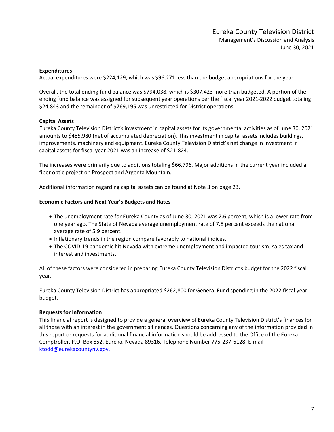## **Expenditures**

Actual expenditures were \$224,129, which was \$96,271 less than the budget appropriations for the year.

Overall, the total ending fund balance was \$794,038, which is \$307,423 more than budgeted. A portion of the ending fund balance was assigned for subsequent year operations per the fiscal year 2021-2022 budget totaling \$24,843 and the remainder of \$769,195 was unrestricted for District operations.

## **Capital Assets**

Eureka County Television District's investment in capital assets for its governmental activities as of June 30, 2021 amounts to \$485,980 (net of accumulated depreciation). This investment in capital assets includes buildings, improvements, machinery and equipment. Eureka County Television District's net change in investment in capital assets for fiscal year 2021 was an increase of \$21,824.

The increases were primarily due to additions totaling \$66,796. Major additions in the current year included a fiber optic project on Prospect and Argenta Mountain.

Additional information regarding capital assets can be found at Note 3 on page 23.

## **Economic Factors and Next Year's Budgets and Rates**

- The unemployment rate for Eureka County as of June 30, 2021 was 2.6 percent, which is a lower rate from one year ago. The State of Nevada average unemployment rate of 7.8 percent exceeds the national average rate of 5.9 percent.
- Inflationary trends in the region compare favorably to national indices.
- The COVID-19 pandemic hit Nevada with extreme unemployment and impacted tourism, sales tax and interest and investments.

All of these factors were considered in preparing Eureka County Television District's budget for the 2022 fiscal year.

Eureka County Television District has appropriated \$262,800 for General Fund spending in the 2022 fiscal year budget.

## **Requests for Information**

This financial report is designed to provide a general overview of Eureka County Television District's finances for all those with an interest in the government's finances. Questions concerning any of the information provided in this report or requests for additional financial information should be addressed to the Office of the Eureka Comptroller, P.O. Box 852, Eureka, Nevada 89316, Telephone Number 775-237-6128, E-mail ktodd@eurekacountynv.gov.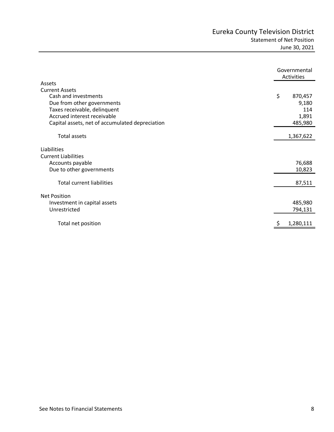<span id="page-9-1"></span><span id="page-9-0"></span>

|                                                 |    | Governmental<br>Activities |
|-------------------------------------------------|----|----------------------------|
| Assets                                          |    |                            |
| <b>Current Assets</b>                           |    |                            |
| Cash and investments                            | \$ | 870,457                    |
| Due from other governments                      |    | 9,180                      |
| Taxes receivable, delinquent                    |    | 114                        |
| Accrued interest receivable                     |    | 1,891                      |
| Capital assets, net of accumulated depreciation |    | 485,980                    |
|                                                 |    |                            |
| <b>Total assets</b>                             |    | 1,367,622                  |
|                                                 |    |                            |
| Liabilities                                     |    |                            |
| <b>Current Liabilities</b>                      |    |                            |
| Accounts payable                                |    | 76,688                     |
| Due to other governments                        |    | 10,823                     |
|                                                 |    |                            |
| <b>Total current liabilities</b>                |    | 87,511                     |
|                                                 |    |                            |
| <b>Net Position</b>                             |    |                            |
| Investment in capital assets                    |    | 485,980                    |
| Unrestricted                                    |    | 794,131                    |
| Total net position                              |    | 1,280,111                  |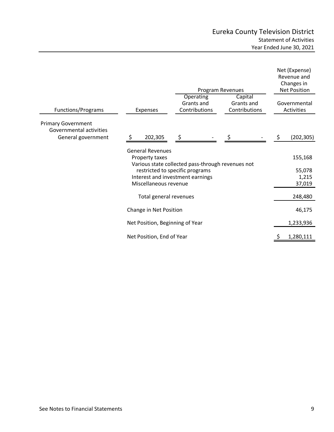<span id="page-10-0"></span>

|                                                                            | Program Revenues<br>Operating<br>Capital<br>Grants and<br>Grants and<br>Contributions<br>Contributions<br>Expenses |                                                                     |  |  | Net (Expense)<br>Revenue and<br>Changes in<br><b>Net Position</b> |
|----------------------------------------------------------------------------|--------------------------------------------------------------------------------------------------------------------|---------------------------------------------------------------------|--|--|-------------------------------------------------------------------|
| Functions/Programs                                                         |                                                                                                                    |                                                                     |  |  | Governmental<br>Activities                                        |
| <b>Primary Government</b><br>Governmental activities<br>General government | 202,305                                                                                                            |                                                                     |  |  | (202, 305)                                                        |
|                                                                            | <b>General Revenues</b><br>Property taxes                                                                          | Various state collected pass-through revenues not                   |  |  | 155,168                                                           |
|                                                                            | Miscellaneous revenue                                                                                              | restricted to specific programs<br>Interest and investment earnings |  |  | 55,078<br>1,215<br>37,019                                         |
|                                                                            | Total general revenues                                                                                             |                                                                     |  |  | 248,480                                                           |
|                                                                            | Change in Net Position                                                                                             |                                                                     |  |  | 46,175                                                            |
|                                                                            | Net Position, Beginning of Year                                                                                    |                                                                     |  |  | 1,233,936                                                         |
|                                                                            | Net Position, End of Year                                                                                          |                                                                     |  |  | 1,280,111                                                         |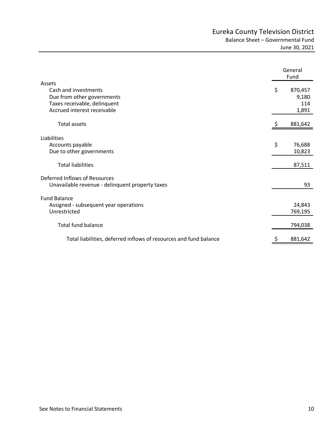<span id="page-11-1"></span><span id="page-11-0"></span>

|                                                                                                                             | General<br>Fund                        |
|-----------------------------------------------------------------------------------------------------------------------------|----------------------------------------|
| Assets<br>Cash and investments<br>Due from other governments<br>Taxes receivable, delinquent<br>Accrued interest receivable | \$<br>870,457<br>9,180<br>114<br>1,891 |
| <b>Total assets</b>                                                                                                         | 881,642                                |
| Liabilities<br>Accounts payable<br>Due to other governments                                                                 | \$<br>76,688<br>10,823                 |
| <b>Total liabilities</b>                                                                                                    | 87,511                                 |
| Deferred Inflows of Resources<br>Unavailable revenue - delinquent property taxes                                            | 93                                     |
| <b>Fund Balance</b><br>Assigned - subsequent year operations<br>Unrestricted                                                | 24,843<br>769,195                      |
| <b>Total fund balance</b>                                                                                                   | 794,038                                |
| Total liabilities, deferred inflows of resources and fund balance                                                           | 881,642                                |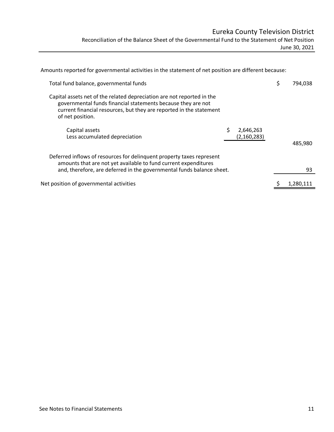Reconciliation of the Balance Sheet of the Governmental Fund to the Statement of Net Position June 30, 2021

<span id="page-12-0"></span>Amounts reported for governmental activities in the statement of net position are different because:

| Total fund balance, governmental funds                                                                                                                                                                                            | \$<br>794,038 |
|-----------------------------------------------------------------------------------------------------------------------------------------------------------------------------------------------------------------------------------|---------------|
| Capital assets net of the related depreciation are not reported in the<br>governmental funds financial statements because they are not<br>current financial resources, but they are reported in the statement<br>of net position. |               |
| Capital assets<br>2,646,263<br>Less accumulated depreciation<br>(2, 160, 283)                                                                                                                                                     | 485,980       |
| Deferred inflows of resources for delinguent property taxes represent<br>amounts that are not yet available to fund current expenditures<br>and, therefore, are deferred in the governmental funds balance sheet.                 | 93            |
| Net position of governmental activities                                                                                                                                                                                           | 1.280.111     |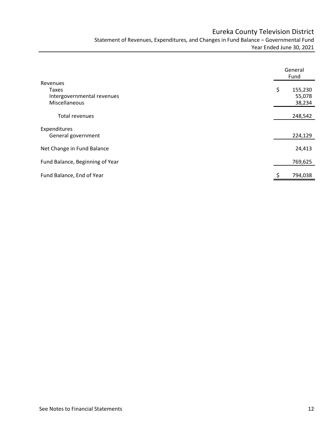## Eureka County Television District Statement of Revenues, Expenditures, and Changes in Fund Balance – Governmental Fund Year Ended June 30, 2021

<span id="page-13-0"></span>

|                                                                  | General<br>Fund                   |
|------------------------------------------------------------------|-----------------------------------|
| Revenues<br>Taxes<br>Intergovernmental revenues<br>Miscellaneous | \$<br>155,230<br>55,078<br>38,234 |
| Total revenues                                                   | 248,542                           |
| Expenditures<br>General government                               | 224,129                           |
| Net Change in Fund Balance                                       | 24,413                            |
| Fund Balance, Beginning of Year                                  | 769,625                           |
| Fund Balance, End of Year                                        | 794,038                           |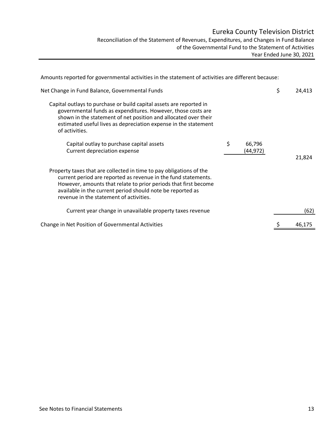| Reconciliation of the Statement of Revenues, Expenditures, and Changes in Fund Balance |
|----------------------------------------------------------------------------------------|
| of the Governmental Fund to the Statement of Activities                                |
| Year Ended June 30, 2021                                                               |

<span id="page-14-0"></span>

| Amounts reported for governmental activities in the statement of activities are different because:                                                                                                                                                                                                                |                          |              |
|-------------------------------------------------------------------------------------------------------------------------------------------------------------------------------------------------------------------------------------------------------------------------------------------------------------------|--------------------------|--------------|
| Net Change in Fund Balance, Governmental Funds                                                                                                                                                                                                                                                                    |                          | \$<br>24,413 |
| Capital outlays to purchase or build capital assets are reported in<br>governmental funds as expenditures. However, those costs are<br>shown in the statement of net position and allocated over their<br>estimated useful lives as depreciation expense in the statement<br>of activities.                       |                          |              |
| Capital outlay to purchase capital assets<br>Current depreciation expense                                                                                                                                                                                                                                         | \$<br>66,796<br>(44,972) | 21,824       |
| Property taxes that are collected in time to pay obligations of the<br>current period are reported as revenue in the fund statements.<br>However, amounts that relate to prior periods that first become<br>available in the current period should note be reported as<br>revenue in the statement of activities. |                          |              |
| Current year change in unavailable property taxes revenue                                                                                                                                                                                                                                                         |                          | (62)         |
| Change in Net Position of Governmental Activities                                                                                                                                                                                                                                                                 |                          | 46,175       |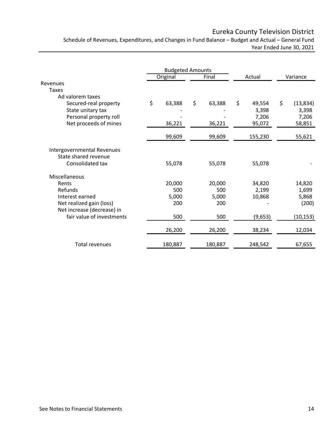<span id="page-15-0"></span>Schedule of Revenues, Expenditures, and Changes in Fund Balance – Budget and Actual – General Fund Year Ended June 30, 2021

|                            |          | <b>Budgeted Amounts</b> |       |         |        |         |          |           |
|----------------------------|----------|-------------------------|-------|---------|--------|---------|----------|-----------|
|                            | Original |                         | Final |         | Actual |         | Variance |           |
| Revenues                   |          |                         |       |         |        |         |          |           |
| <b>Taxes</b>               |          |                         |       |         |        |         |          |           |
| Ad valorem taxes           |          |                         |       |         |        |         |          |           |
| Secured-real property      | \$       | 63,388                  | \$    | 63,388  | \$     | 49,554  | \$       | (13, 834) |
| State unitary tax          |          |                         |       |         |        | 3,398   |          | 3,398     |
| Personal property roll     |          |                         |       |         |        | 7,206   |          | 7,206     |
| Net proceeds of mines      |          | 36,221                  |       | 36,221  |        | 95,072  |          | 58,851    |
|                            |          | 99,609                  |       | 99,609  |        | 155,230 |          | 55,621    |
| Intergovernmental Revenues |          |                         |       |         |        |         |          |           |
| State shared revenue       |          |                         |       |         |        |         |          |           |
| Consolidated tax           |          | 55,078                  |       | 55,078  |        | 55,078  |          |           |
|                            |          |                         |       |         |        |         |          |           |
| Miscellaneous              |          |                         |       |         |        |         |          |           |
| Rents                      |          | 20,000                  |       | 20,000  |        | 34,820  |          | 14,820    |
| Refunds                    |          | 500                     |       | 500     |        | 2,199   |          | 1,699     |
| Interest earned            |          | 5,000                   |       | 5,000   |        | 10,868  |          | 5,868     |
| Net realized gain (loss)   |          | 200                     |       | 200     |        |         |          | (200)     |
| Net increase (decrease) in |          |                         |       |         |        |         |          |           |
| fair value of investments  |          | 500                     |       | 500     |        | (9,653) |          | (10, 153) |
|                            |          | 26,200                  |       | 26,200  |        | 38,234  |          | 12,034    |
| <b>Total revenues</b>      |          | 180,887                 |       | 180,887 |        | 248,542 |          | 67,655    |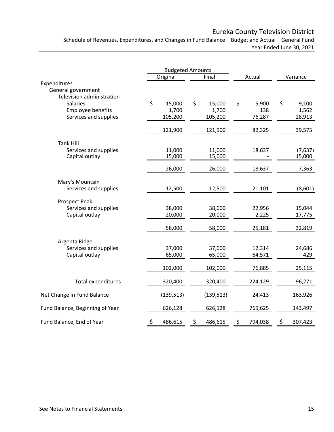Schedule of Revenues, Expenditures, and Changes in Fund Balance – Budget and Actual – General Fund Year Ended June 30, 2021

|                                 | <b>Budgeted Amounts</b> |            |    |            |    |         |    |          |
|---------------------------------|-------------------------|------------|----|------------|----|---------|----|----------|
|                                 |                         | Original   |    | Final      |    | Actual  |    | Variance |
| Expenditures                    |                         |            |    |            |    |         |    |          |
| General government              |                         |            |    |            |    |         |    |          |
| Television administration       |                         |            |    |            |    |         |    |          |
| <b>Salaries</b>                 | \$                      | 15,000     | \$ | 15,000     | \$ | 5,900   | \$ | 9,100    |
| <b>Employee benefits</b>        |                         | 1,700      |    | 1,700      |    | 138     |    | 1,562    |
| Services and supplies           |                         | 105,200    |    | 105,200    |    | 76,287  |    | 28,913   |
|                                 |                         | 121,900    |    | 121,900    |    | 82,325  |    | 39,575   |
| <b>Tank Hill</b>                |                         |            |    |            |    |         |    |          |
| Services and supplies           |                         | 11,000     |    | 11,000     |    | 18,637  |    | (7,637)  |
| Capital outlay                  |                         | 15,000     |    | 15,000     |    |         |    | 15,000   |
|                                 |                         |            |    |            |    |         |    |          |
|                                 |                         | 26,000     |    | 26,000     |    | 18,637  |    | 7,363    |
| Mary's Mountain                 |                         |            |    |            |    |         |    |          |
| Services and supplies           |                         | 12,500     |    | 12,500     |    | 21,101  |    | (8,601)  |
| <b>Prospect Peak</b>            |                         |            |    |            |    |         |    |          |
| Services and supplies           |                         | 38,000     |    | 38,000     |    | 22,956  |    | 15,044   |
| Capital outlay                  |                         | 20,000     |    | 20,000     |    | 2,225   |    | 17,775   |
|                                 |                         | 58,000     |    | 58,000     |    | 25,181  |    | 32,819   |
|                                 |                         |            |    |            |    |         |    |          |
| Argenta Ridge                   |                         |            |    |            |    |         |    |          |
| Services and supplies           |                         | 37,000     |    | 37,000     |    | 12,314  |    | 24,686   |
| Capital outlay                  |                         | 65,000     |    | 65,000     |    | 64,571  |    | 429      |
|                                 |                         | 102,000    |    | 102,000    |    | 76,885  |    | 25,115   |
|                                 |                         |            |    |            |    |         |    |          |
| <b>Total expenditures</b>       |                         | 320,400    |    | 320,400    |    | 224,129 |    | 96,271   |
| Net Change in Fund Balance      |                         | (139, 513) |    | (139, 513) |    | 24,413  |    | 163,926  |
| Fund Balance, Beginning of Year |                         | 626,128    |    | 626,128    |    | 769,625 |    | 143,497  |
| Fund Balance, End of Year       | \$                      | 486,615    | \$ | 486,615    | \$ | 794,038 | \$ | 307,423  |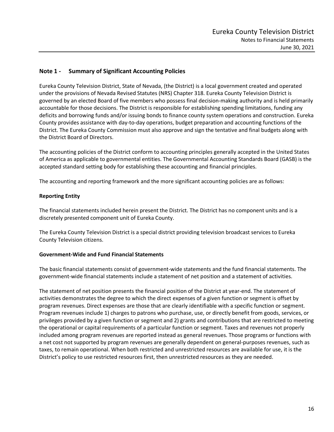## <span id="page-17-0"></span>**Note 1 - Summary of Significant Accounting Policies**

Eureka County Television District, State of Nevada, (the District) is a local government created and operated under the provisions of Nevada Revised Statutes (NRS) Chapter 318. Eureka County Television District is governed by an elected Board of five members who possess final decision-making authority and is held primarily accountable for those decisions. The District is responsible for establishing spending limitations, funding any deficits and borrowing funds and/or issuing bonds to finance county system operations and construction. Eureka County provides assistance with day-to-day operations, budget preparation and accounting functions of the District. The Eureka County Commission must also approve and sign the tentative and final budgets along with the District Board of Directors.

The accounting policies of the District conform to accounting principles generally accepted in the United States of America as applicable to governmental entities. The Governmental Accounting Standards Board (GASB) is the accepted standard setting body for establishing these accounting and financial principles.

The accounting and reporting framework and the more significant accounting policies are as follows:

## **Reporting Entity**

The financial statements included herein present the District. The District has no component units and is a discretely presented component unit of Eureka County.

The Eureka County Television District is a special district providing television broadcast services to Eureka County Television citizens.

## **Government-Wide and Fund Financial Statements**

The basic financial statements consist of government-wide statements and the fund financial statements. The government-wide financial statements include a statement of net position and a statement of activities.

The statement of net position presents the financial position of the District at year-end. The statement of activities demonstrates the degree to which the direct expenses of a given function or segment is offset by program revenues. Direct expenses are those that are clearly identifiable with a specific function or segment. Program revenues include 1) charges to patrons who purchase, use, or directly benefit from goods, services, or privileges provided by a given function or segment and 2) grants and contributions that are restricted to meeting the operational or capital requirements of a particular function or segment. Taxes and revenues not properly included among program revenues are reported instead as general revenues. Those programs or functions with a net cost not supported by program revenues are generally dependent on general-purposes revenues, such as taxes, to remain operational. When both restricted and unrestricted resources are available for use, it is the District's policy to use restricted resources first, then unrestricted resources as they are needed.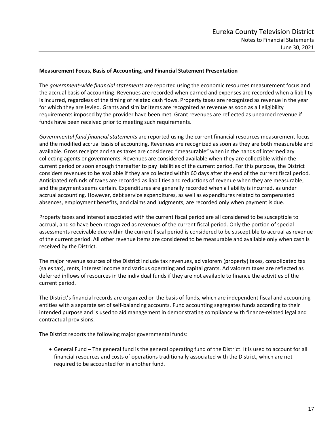## **Measurement Focus, Basis of Accounting, and Financial Statement Presentation**

The *government-wide financial statements* are reported using the economic resources measurement focus and the accrual basis of accounting. Revenues are recorded when earned and expenses are recorded when a liability is incurred, regardless of the timing of related cash flows. Property taxes are recognized as revenue in the year for which they are levied. Grants and similar items are recognized as revenue as soon as all eligibility requirements imposed by the provider have been met. Grant revenues are reflected as unearned revenue if funds have been received prior to meeting such requirements.

*Governmental fund financial statements* are reported using the current financial resources measurement focus and the modified accrual basis of accounting. Revenues are recognized as soon as they are both measurable and available. Gross receipts and sales taxes are considered "measurable" when in the hands of intermediary collecting agents or governments. Revenues are considered available when they are collectible within the current period or soon enough thereafter to pay liabilities of the current period. For this purpose, the District considers revenues to be available if they are collected within 60 days after the end of the current fiscal period. Anticipated refunds of taxes are recorded as liabilities and reductions of revenue when they are measurable, and the payment seems certain. Expenditures are generally recorded when a liability is incurred, as under accrual accounting. However, debt service expenditures, as well as expenditures related to compensated absences, employment benefits, and claims and judgments, are recorded only when payment is due.

Property taxes and interest associated with the current fiscal period are all considered to be susceptible to accrual, and so have been recognized as revenues of the current fiscal period. Only the portion of special assessments receivable due within the current fiscal period is considered to be susceptible to accrual as revenue of the current period. All other revenue items are considered to be measurable and available only when cash is received by the District.

The major revenue sources of the District include tax revenues, ad valorem (property) taxes, consolidated tax (sales tax), rents, interest income and various operating and capital grants. Ad valorem taxes are reflected as deferred inflows of resources in the individual funds if they are not available to finance the activities of the current period.

The District's financial records are organized on the basis of funds, which are independent fiscal and accounting entities with a separate set of self-balancing accounts. Fund accounting segregates funds according to their intended purpose and is used to aid management in demonstrating compliance with finance-related legal and contractual provisions.

The District reports the following major governmental funds:

• General Fund – The general fund is the general operating fund of the District. It is used to account for all financial resources and costs of operations traditionally associated with the District, which are not required to be accounted for in another fund.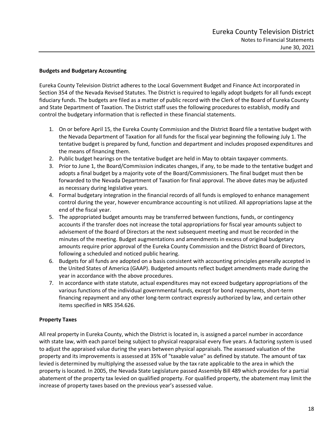## **Budgets and Budgetary Accounting**

Eureka County Television District adheres to the Local Government Budget and Finance Act incorporated in Section 354 of the Nevada Revised Statutes. The District is required to legally adopt budgets for all funds except fiduciary funds. The budgets are filed as a matter of public record with the Clerk of the Board of Eureka County and State Department of Taxation. The District staff uses the following procedures to establish, modify and control the budgetary information that is reflected in these financial statements.

- 1. On or before April 15, the Eureka County Commission and the District Board file a tentative budget with the Nevada Department of Taxation for all funds for the fiscal year beginning the following July 1. The tentative budget is prepared by fund, function and department and includes proposed expenditures and the means of financing them.
- 2. Public budget hearings on the tentative budget are held in May to obtain taxpayer comments.
- 3. Prior to June 1, the Board/Commission indicates changes, if any, to be made to the tentative budget and adopts a final budget by a majority vote of the Board/Commissioners. The final budget must then be forwarded to the Nevada Department of Taxation for final approval. The above dates may be adjusted as necessary during legislative years.
- 4. Formal budgetary integration in the financial records of all funds is employed to enhance management control during the year, however encumbrance accounting is not utilized. All appropriations lapse at the end of the fiscal year.
- 5. The appropriated budget amounts may be transferred between functions, funds, or contingency accounts if the transfer does not increase the total appropriations for fiscal year amounts subject to advisement of the Board of Directors at the next subsequent meeting and must be recorded in the minutes of the meeting. Budget augmentations and amendments in excess of original budgetary amounts require prior approval of the Eureka County Commission and the District Board of Directors, following a scheduled and noticed public hearing.
- 6. Budgets for all funds are adopted on a basis consistent with accounting principles generally accepted in the United States of America (GAAP). Budgeted amounts reflect budget amendments made during the year in accordance with the above procedures.
- 7. In accordance with state statute, actual expenditures may not exceed budgetary appropriations of the various functions of the individual governmental funds, except for bond repayments, short-term financing repayment and any other long-term contract expressly authorized by law, and certain other items specified in NRS 354.626.

## **Property Taxes**

All real property in Eureka County, which the District is located in, is assigned a parcel number in accordance with state law, with each parcel being subject to physical reappraisal every five years. A factoring system is used to adjust the appraised value during the years between physical appraisals. The assessed valuation of the property and its improvements is assessed at 35% of "taxable value" as defined by statute. The amount of tax levied is determined by multiplying the assessed value by the tax rate applicable to the area in which the property is located. In 2005, the Nevada State Legislature passed Assembly Bill 489 which provides for a partial abatement of the property tax levied on qualified property. For qualified property, the abatement may limit the increase of property taxes based on the previous year's assessed value.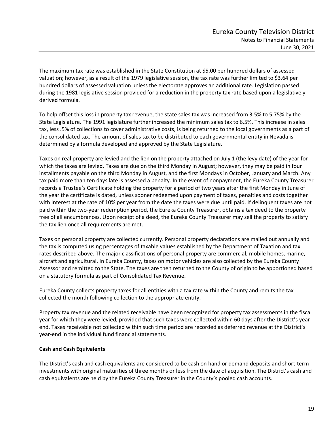The maximum tax rate was established in the State Constitution at \$5.00 per hundred dollars of assessed valuation; however, as a result of the 1979 legislative session, the tax rate was further limited to \$3.64 per hundred dollars of assessed valuation unless the electorate approves an additional rate. Legislation passed during the 1981 legislative session provided for a reduction in the property tax rate based upon a legislatively derived formula.

To help offset this loss in property tax revenue, the state sales tax was increased from 3.5% to 5.75% by the State Legislature. The 1991 legislature further increased the minimum sales tax to 6.5%. This increase in sales tax, less .5% of collections to cover administrative costs, is being returned to the local governments as a part of the consolidated tax. The amount of sales tax to be distributed to each governmental entity in Nevada is determined by a formula developed and approved by the State Legislature.

Taxes on real property are levied and the lien on the property attached on July 1 (the levy date) of the year for which the taxes are levied. Taxes are due on the third Monday in August; however, they may be paid in four installments payable on the third Monday in August, and the first Mondays in October, January and March. Any tax paid more than ten days late is assessed a penalty. In the event of nonpayment, the Eureka County Treasurer records a Trustee's Certificate holding the property for a period of two years after the first Monday in June of the year the certificate is dated, unless sooner redeemed upon payment of taxes, penalties and costs together with interest at the rate of 10% per year from the date the taxes were due until paid. If delinquent taxes are not paid within the two-year redemption period, the Eureka County Treasurer, obtains a tax deed to the property free of all encumbrances. Upon receipt of a deed, the Eureka County Treasurer may sell the property to satisfy the tax lien once all requirements are met.

Taxes on personal property are collected currently. Personal property declarations are mailed out annually and the tax is computed using percentages of taxable values established by the Department of Taxation and tax rates described above. The major classifications of personal property are commercial, mobile homes, marine, aircraft and agricultural. In Eureka County, taxes on motor vehicles are also collected by the Eureka County Assessor and remitted to the State. The taxes are then returned to the County of origin to be apportioned based on a statutory formula as part of Consolidated Tax Revenue.

Eureka County collects property taxes for all entities with a tax rate within the County and remits the tax collected the month following collection to the appropriate entity.

Property tax revenue and the related receivable have been recognized for property tax assessments in the fiscal year for which they were levied, provided that such taxes were collected within 60 days after the District's yearend. Taxes receivable not collected within such time period are recorded as deferred revenue at the District's year-end in the individual fund financial statements.

## **Cash and Cash Equivalents**

The District's cash and cash equivalents are considered to be cash on hand or demand deposits and short-term investments with original maturities of three months or less from the date of acquisition. The District's cash and cash equivalents are held by the Eureka County Treasurer in the County's pooled cash accounts.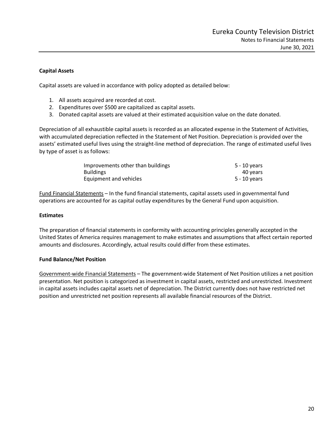## **Capital Assets**

Capital assets are valued in accordance with policy adopted as detailed below:

- 1. All assets acquired are recorded at cost.
- 2. Expenditures over \$500 are capitalized as capital assets.
- 3. Donated capital assets are valued at their estimated acquisition value on the date donated.

Depreciation of all exhaustible capital assets is recorded as an allocated expense in the Statement of Activities, with accumulated depreciation reflected in the Statement of Net Position. Depreciation is provided over the assets' estimated useful lives using the straight-line method of depreciation. The range of estimated useful lives by type of asset is as follows:

| Improvements other than buildings | 5 - 10 years |
|-----------------------------------|--------------|
| <b>Buildings</b>                  | 40 years     |
| Equipment and vehicles            | 5 - 10 years |

Fund Financial Statements – In the fund financial statements, capital assets used in governmental fund operations are accounted for as capital outlay expenditures by the General Fund upon acquisition.

## **Estimates**

The preparation of financial statements in conformity with accounting principles generally accepted in the United States of America requires management to make estimates and assumptions that affect certain reported amounts and disclosures. Accordingly, actual results could differ from these estimates.

## **Fund Balance/Net Position**

Government-wide Financial Statements – The government-wide Statement of Net Position utilizes a net position presentation. Net position is categorized as investment in capital assets, restricted and unrestricted. Investment in capital assets includes capital assets net of depreciation. The District currently does not have restricted net position and unrestricted net position represents all available financial resources of the District.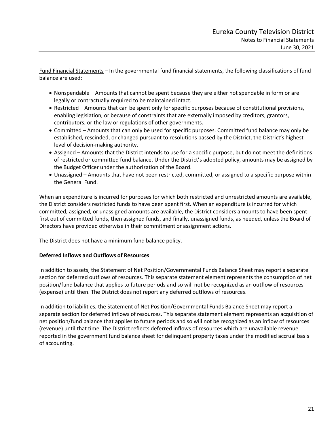Fund Financial Statements – In the governmental fund financial statements, the following classifications of fund balance are used:

- Nonspendable Amounts that cannot be spent because they are either not spendable in form or are legally or contractually required to be maintained intact.
- Restricted Amounts that can be spent only for specific purposes because of constitutional provisions, enabling legislation, or because of constraints that are externally imposed by creditors, grantors, contributors, or the law or regulations of other governments.
- Committed Amounts that can only be used for specific purposes. Committed fund balance may only be established, rescinded, or changed pursuant to resolutions passed by the District, the District's highest level of decision-making authority.
- Assigned Amounts that the District intends to use for a specific purpose, but do not meet the definitions of restricted or committed fund balance. Under the District's adopted policy, amounts may be assigned by the Budget Officer under the authorization of the Board.
- Unassigned Amounts that have not been restricted, committed, or assigned to a specific purpose within the General Fund.

When an expenditure is incurred for purposes for which both restricted and unrestricted amounts are available, the District considers restricted funds to have been spent first. When an expenditure is incurred for which committed, assigned, or unassigned amounts are available, the District considers amounts to have been spent first out of committed funds, then assigned funds, and finally, unassigned funds, as needed, unless the Board of Directors have provided otherwise in their commitment or assignment actions.

The District does not have a minimum fund balance policy.

## **Deferred Inflows and Outflows of Resources**

In addition to assets, the Statement of Net Position/Governmental Funds Balance Sheet may report a separate section for deferred outflows of resources. This separate statement element represents the consumption of net position/fund balance that applies to future periods and so will not be recognized as an outflow of resources (expense) until then. The District does not report any deferred outflows of resources.

In addition to liabilities, the Statement of Net Position/Governmental Funds Balance Sheet may report a separate section for deferred inflows of resources. This separate statement element represents an acquisition of net position/fund balance that applies to future periods and so will not be recognized as an inflow of resources (revenue) until that time. The District reflects deferred inflows of resources which are unavailable revenue reported in the government fund balance sheet for delinquent property taxes under the modified accrual basis of accounting.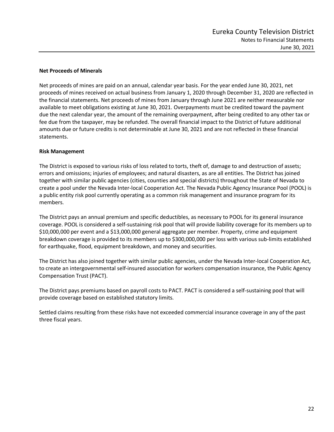## **Net Proceeds of Minerals**

Net proceeds of mines are paid on an annual, calendar year basis. For the year ended June 30, 2021, net proceeds of mines received on actual business from January 1, 2020 through December 31, 2020 are reflected in the financial statements. Net proceeds of mines from January through June 2021 are neither measurable nor available to meet obligations existing at June 30, 2021. Overpayments must be credited toward the payment due the next calendar year, the amount of the remaining overpayment, after being credited to any other tax or fee due from the taxpayer, may be refunded. The overall financial impact to the District of future additional amounts due or future credits is not determinable at June 30, 2021 and are not reflected in these financial statements.

## **Risk Management**

The District is exposed to various risks of loss related to torts, theft of, damage to and destruction of assets; errors and omissions; injuries of employees; and natural disasters, as are all entities. The District has joined together with similar public agencies (cities, counties and special districts) throughout the State of Nevada to create a pool under the Nevada Inter-local Cooperation Act. The Nevada Public Agency Insurance Pool (POOL) is a public entity risk pool currently operating as a common risk management and insurance program for its members.

The District pays an annual premium and specific deductibles, as necessary to POOL for its general insurance coverage. POOL is considered a self-sustaining risk pool that will provide liability coverage for its members up to \$10,000,000 per event and a \$13,000,000 general aggregate per member. Property, crime and equipment breakdown coverage is provided to its members up to \$300,000,000 per loss with various sub-limits established for earthquake, flood, equipment breakdown, and money and securities.

The District has also joined together with similar public agencies, under the Nevada Inter-local Cooperation Act, to create an intergovernmental self-insured association for workers compensation insurance, the Public Agency Compensation Trust (PACT).

The District pays premiums based on payroll costs to PACT. PACT is considered a self-sustaining pool that will provide coverage based on established statutory limits.

Settled claims resulting from these risks have not exceeded commercial insurance coverage in any of the past three fiscal years.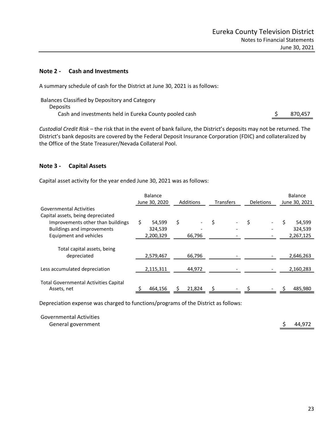## **Note 2 - Cash and Investments**

A summary schedule of cash for the District at June 30, 2021 is as follows:

Balances Classified by Depository and Category Deposits Cash and investments held in Eureka County pooled cash <br>
\$ 870,457

*Custodial Credit Risk –* the risk that in the event of bank failure, the District's deposits may not be returned. The District's bank deposits are covered by the Federal Deposit Insurance Corporation (FDIC) and collateralized by the Office of the State Treasurer/Nevada Collateral Pool.

## **Note 3 - Capital Assets**

Capital asset activity for the year ended June 30, 2021 was as follows:

|                                                             |               | Balance   |           |        |                  |  |                  |  |               | Balance   |
|-------------------------------------------------------------|---------------|-----------|-----------|--------|------------------|--|------------------|--|---------------|-----------|
|                                                             | June 30, 2020 |           | Additions |        | <b>Transfers</b> |  | <b>Deletions</b> |  | June 30, 2021 |           |
| <b>Governmental Activities</b>                              |               |           |           |        |                  |  |                  |  |               |           |
| Capital assets, being depreciated                           |               |           |           |        |                  |  |                  |  |               |           |
| Improvements other than buildings                           |               | 54.599    | Ś         |        | Ś                |  | \$               |  | \$            | 54,599    |
| <b>Buildings and improvements</b>                           |               | 324,539   |           |        |                  |  |                  |  |               | 324,539   |
| Equipment and vehicles                                      |               | 2,200,329 |           | 66,796 |                  |  |                  |  |               | 2,267,125 |
| Total capital assets, being                                 |               |           |           |        |                  |  |                  |  |               |           |
| depreciated                                                 |               | 2,579,467 |           | 66,796 |                  |  |                  |  |               | 2,646,263 |
| Less accumulated depreciation                               |               | 2,115,311 |           | 44,972 |                  |  |                  |  |               | 2,160,283 |
| <b>Total Governmental Activities Capital</b><br>Assets, net |               | 464,156   |           | 21,824 |                  |  |                  |  |               | 485,980   |

Depreciation expense was charged to functions/programs of the District as follows:

| <b>Governmental Activities</b> |        |
|--------------------------------|--------|
| General government             | 44.972 |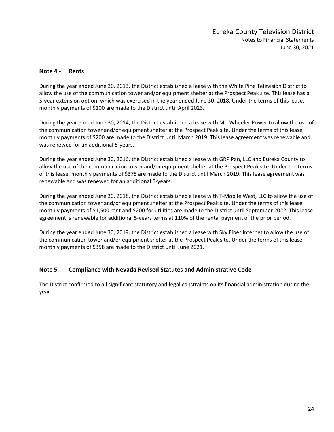## **Note 4 - Rents**

During the year ended June 30, 2013, the District established a lease with the White Pine Television District to allow the use of the communication tower and/or equipment shelter at the Prospect Peak site. This lease has a 5-year extension option, which was exercised in the year ended June 30, 2018. Under the terms of this lease, monthly payments of \$100 are made to the District until April 2023.

During the year ended June 30, 2014, the District established a lease with Mt. Wheeler Power to allow the use of the communication tower and/or equipment shelter at the Prospect Peak site. Under the terms of this lease, monthly payments of \$200 are made to the District until March 2019. This lease agreement was renewable and was renewed for an additional 5-years.

During the year ended June 30, 2016, the District established a lease with GRP Pan, LLC and Eureka County to allow the use of the communication tower and/or equipment shelter at the Prospect Peak site. Under the terms of this lease, monthly payments of \$375 are made to the District until March 2019. This lease agreement was renewable and was renewed for an additional 5-years.

During the year ended June 30, 2018, the District established a lease with T-Mobile West, LLC to allow the use of the communication tower and/or equipment shelter at the Prospect Peak site. Under the terms of this lease, monthly payments of \$1,500 rent and \$200 for utilities are made to the District until September 2022. This lease agreement is renewable for additional 5-years terms at 110% of the rental payment of the prior period.

During the year ended June 30, 2019, the District established a lease with Sky Fiber Internet to allow the use of the communication tower and/or equipment shelter at the Prospect Peak site. Under the terms of this lease, monthly payments of \$358 are made to the District until June 2021.

## **Note 5 - Compliance with Nevada Revised Statutes and Administrative Code**

The District confirmed to all significant statutory and legal constraints on its financial administration during the year.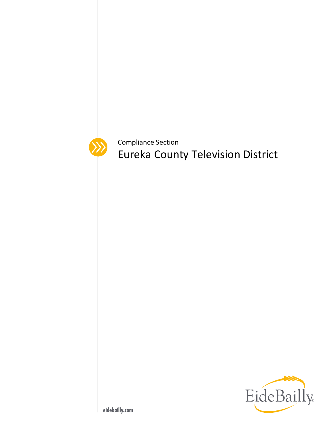

Compliance Section Eureka County Television District

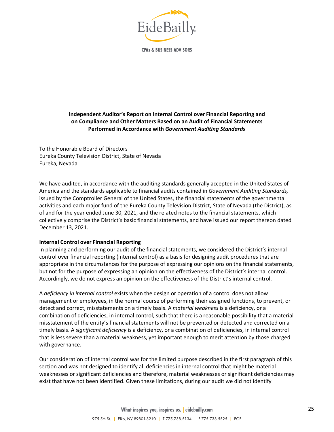

**CPAs & BUSINESS ADVISORS** 

## <span id="page-27-1"></span><span id="page-27-0"></span>**Independent Auditor's Report on Internal Control over Financial Reporting and on Compliance and Other Matters Based on an Audit of Financial Statements Performed in Accordance with** *Government Auditing Standards*

To the Honorable Board of Directors Eureka County Television District, State of Nevada Eureka, Nevada

We have audited, in accordance with the auditing standards generally accepted in the United States of America and the standards applicable to financial audits contained in *Government Auditing Standards,*  issued by the Comptroller General of the United States, the financial statements of the governmental activities and each major fund of the Eureka County Television District, State of Nevada (the District), as of and for the year ended June 30, 2021, and the related notes to the financial statements, which collectively comprise the District's basic financial statements, and have issued our report thereon dated December 13, 2021.

#### **Internal Control over Financial Reporting**

In planning and performing our audit of the financial statements, we considered the District's internal control over financial reporting (internal control) as a basis for designing audit procedures that are appropriate in the circumstances for the purpose of expressing our opinions on the financial statements, but not for the purpose of expressing an opinion on the effectiveness of the District's internal control. Accordingly, we do not express an opinion on the effectiveness of the District's internal control.

A *deficiency in internal control* exists when the design or operation of a control does not allow management or employees, in the normal course of performing their assigned functions, to prevent, or detect and correct, misstatements on a timely basis. A *material weakness* is a deficiency, or a combination of deficiencies, in internal control, such that there is a reasonable possibility that a material misstatement of the entity's financial statements will not be prevented or detected and corrected on a timely basis. A *significant deficiency* is a deficiency, or a combination of deficiencies, in internal control that is less severe than a material weakness, yet important enough to merit attention by those charged with governance.

Our consideration of internal control was for the limited purpose described in the first paragraph of this section and was not designed to identify all deficiencies in internal control that might be material weaknesses or significant deficiencies and therefore, material weaknesses or significant deficiencies may exist that have not been identified. Given these limitations, during our audit we did not identify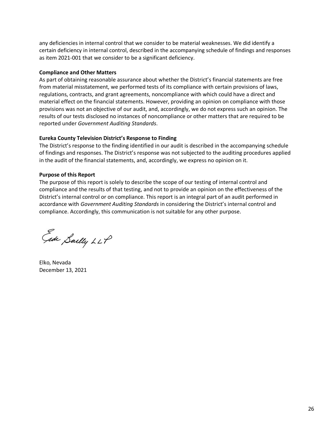any deficiencies in internal control that we consider to be material weaknesses. We did identify a certain deficiency in internal control, described in the accompanying schedule of findings and responses as item 2021-001 that we consider to be a significant deficiency.

#### **Compliance and Other Matters**

As part of obtaining reasonable assurance about whether the District's financial statements are free from material misstatement, we performed tests of its compliance with certain provisions of laws, regulations, contracts, and grant agreements, noncompliance with which could have a direct and material effect on the financial statements. However, providing an opinion on compliance with those provisions was not an objective of our audit, and, accordingly, we do not express such an opinion. The results of our tests disclosed no instances of noncompliance or other matters that are required to be reported under *Government Auditing Standards*.

## **Eureka County Television District's Response to Finding**

The District's response to the finding identified in our audit is described in the accompanying schedule of findings and responses. The District's response was not subjected to the auditing procedures applied in the audit of the financial statements, and, accordingly, we express no opinion on it.

#### **Purpose of this Report**

The purpose of this report is solely to describe the scope of our testing of internal control and compliance and the results of that testing, and not to provide an opinion on the effectiveness of the District's internal control or on compliance. This report is an integral part of an audit performed in accordance with *Government Auditing Standards* in considering the District's internal control and compliance. Accordingly, this communication is not suitable for any other purpose.

Ede Sailly LLP

Elko, Nevada December 13, 2021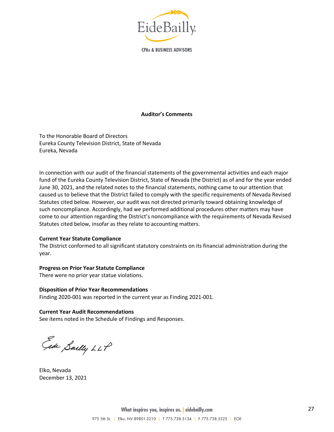

**CPAs & BUSINESS ADVISORS** 

#### **Auditor's Comments**

<span id="page-29-0"></span>To the Honorable Board of Directors Eureka County Television District, State of Nevada Eureka, Nevada

In connection with our audit of the financial statements of the governmental activities and each major fund of the Eureka County Television District, State of Nevada (the District) as of and for the year ended June 30, 2021, and the related notes to the financial statements, nothing came to our attention that caused us to believe that the District failed to comply with the specific requirements of Nevada Revised Statutes cited below. However, our audit was not directed primarily toward obtaining knowledge of such noncompliance. Accordingly, had we performed additional procedures other matters may have come to our attention regarding the District's noncompliance with the requirements of Nevada Revised Statutes cited below, insofar as they relate to accounting matters.

#### **Current Year Statute Compliance**

The District conformed to all significant statutory constraints on its financial administration during the year.

#### **Progress on Prior Year Statute Compliance**

There were no prior year statue violations.

#### **Disposition of Prior Year Recommendations**

Finding 2020-001 was reported in the current year as Finding 2021-001.

#### **Current Year Audit Recommendations**

See items noted in the Schedule of Findings and Responses.

Ede Saelly LLP

Elko, Nevada December 13, 2021